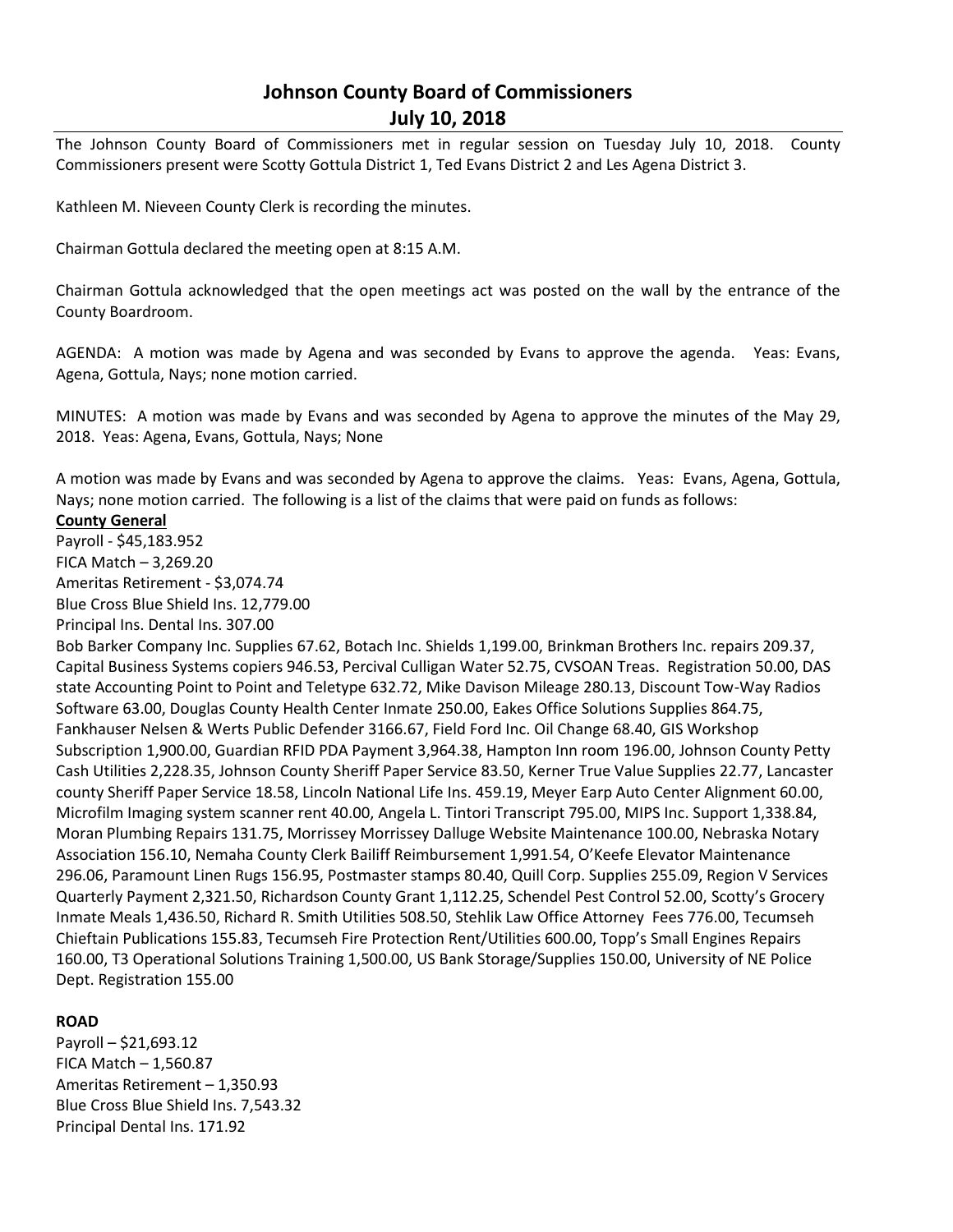# **Johnson County Board of Commissioners July 10, 2018**

The Johnson County Board of Commissioners met in regular session on Tuesday July 10, 2018. County Commissioners present were Scotty Gottula District 1, Ted Evans District 2 and Les Agena District 3.

Kathleen M. Nieveen County Clerk is recording the minutes.

Chairman Gottula declared the meeting open at 8:15 A.M.

Chairman Gottula acknowledged that the open meetings act was posted on the wall by the entrance of the County Boardroom.

AGENDA: A motion was made by Agena and was seconded by Evans to approve the agenda. Yeas: Evans, Agena, Gottula, Nays; none motion carried.

MINUTES: A motion was made by Evans and was seconded by Agena to approve the minutes of the May 29, 2018. Yeas: Agena, Evans, Gottula, Nays; None

A motion was made by Evans and was seconded by Agena to approve the claims. Yeas: Evans, Agena, Gottula, Nays; none motion carried. The following is a list of the claims that were paid on funds as follows:

## **County General**

Payroll - \$45,183.952 FICA Match – 3,269.20 Ameritas Retirement - \$3,074.74 Blue Cross Blue Shield Ins. 12,779.00

Principal Ins. Dental Ins. 307.00

Bob Barker Company Inc. Supplies 67.62, Botach Inc. Shields 1,199.00, Brinkman Brothers Inc. repairs 209.37, Capital Business Systems copiers 946.53, Percival Culligan Water 52.75, CVSOAN Treas. Registration 50.00, DAS state Accounting Point to Point and Teletype 632.72, Mike Davison Mileage 280.13, Discount Tow-Way Radios Software 63.00, Douglas County Health Center Inmate 250.00, Eakes Office Solutions Supplies 864.75, Fankhauser Nelsen & Werts Public Defender 3166.67, Field Ford Inc. Oil Change 68.40, GIS Workshop Subscription 1,900.00, Guardian RFID PDA Payment 3,964.38, Hampton Inn room 196.00, Johnson County Petty Cash Utilities 2,228.35, Johnson County Sheriff Paper Service 83.50, Kerner True Value Supplies 22.77, Lancaster county Sheriff Paper Service 18.58, Lincoln National Life Ins. 459.19, Meyer Earp Auto Center Alignment 60.00, Microfilm Imaging system scanner rent 40.00, Angela L. Tintori Transcript 795.00, MIPS Inc. Support 1,338.84, Moran Plumbing Repairs 131.75, Morrissey Morrissey Dalluge Website Maintenance 100.00, Nebraska Notary Association 156.10, Nemaha County Clerk Bailiff Reimbursement 1,991.54, O'Keefe Elevator Maintenance 296.06, Paramount Linen Rugs 156.95, Postmaster stamps 80.40, Quill Corp. Supplies 255.09, Region V Services Quarterly Payment 2,321.50, Richardson County Grant 1,112.25, Schendel Pest Control 52.00, Scotty's Grocery Inmate Meals 1,436.50, Richard R. Smith Utilities 508.50, Stehlik Law Office Attorney Fees 776.00, Tecumseh Chieftain Publications 155.83, Tecumseh Fire Protection Rent/Utilities 600.00, Topp's Small Engines Repairs 160.00, T3 Operational Solutions Training 1,500.00, US Bank Storage/Supplies 150.00, University of NE Police Dept. Registration 155.00

# **ROAD**

Payroll – \$21,693.12 FICA Match – 1,560.87 Ameritas Retirement – 1,350.93 Blue Cross Blue Shield Ins. 7,543.32 Principal Dental Ins. 171.92